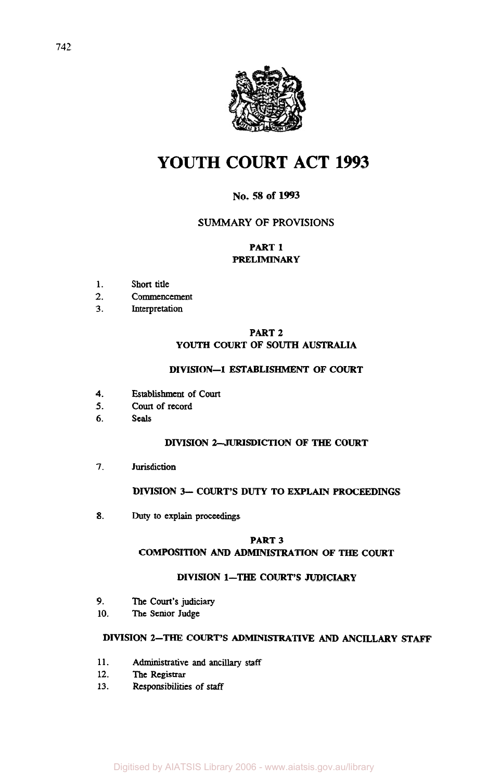

# **YOUTH COURT ACT 1993**

# **No. 58 of 1993**

## **SUMMARY OF PROVISIONS**

## **PART 1 PRELIMINARY**

- **1. Short title**
- **2. Commencement**
- **3. Interpretation**

## **PART 2 YOUTH COURT OF SOUTH AUSTRALIA**

## **DIVISION-1 ESTABLISHMENT OF COURT**

- **4. Establishment of Court**
- **5. Court of record**
- **6. seals**

## **DIVISION 2-JURISDICTION OF THE COURT**

**7. Jurisdiction** 

#### **DIVISION 3- COURT'S DUTY TO EXPLAIN PROCEEDINGS**

**8.** Duty **to explain proceedings** 

#### **PART 3**

## **COMPOSITION** AND **ADMINISTRATION OF THE COURT**

## **DIVISION 1-THE COURT'S JUDICIARY**

- **9. The Court's Judiciary**
- **10. The Senior Judge**

## **DIVISION 2-THE COURT'S** ADMINISTRATIVE AND **ANCILLARY** *STAFF*

- **11. Administrative and ancillary staff**
- **12. The Registrar**
- **13. Responsibilities of** *staff*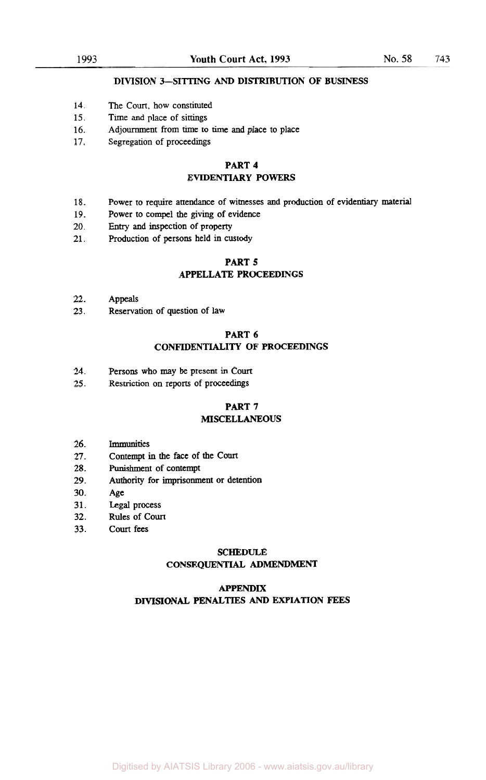#### **DIVISION 3-SITTING** *AND* **DISTRIBUTION OF BUSINESS**

- 14. The Court, how constituted
- 15. Time and place of sittings
- 16. Adjournment **from** time to time and place to place
- 17. Segregation of proceedings

#### **PART 4 EVIDENTIARY POWERS**

- 18. Power to require attendance of witnesses and production of evidentiary **material**
- 19. Power to compel the giving of evidence
- 20. **Entry** and inspection of property
- 21. Production of persons held in custody

#### **PART S APPELLATE PROCEEDINGS**

- 22. Appeals
- 23. Reservation of question of law

#### **PART 6 CONFIDENTIALITY OF PROCEEDINGS**

- 24. Persons who may be present in Court
- 25. Restriction **on** reports of proceedings

# **PART 7**

## **MISCELLANEOUS**

- 26. Immunities
- 27. Contempt in the face of the Court
- 28. Punishment of contempt
- 29. Authority for imprisonment or detention
- 30. Age
- 31. Legal process
- 32. Rules of Court
- 33. Court fees

#### **SCHEDULE**

#### **CONSEQUENTIAL AMENDMENT**

#### **APPENDIX**

#### **DIVISIONAL PENALTIES** *AND* **EXPIATION FEES**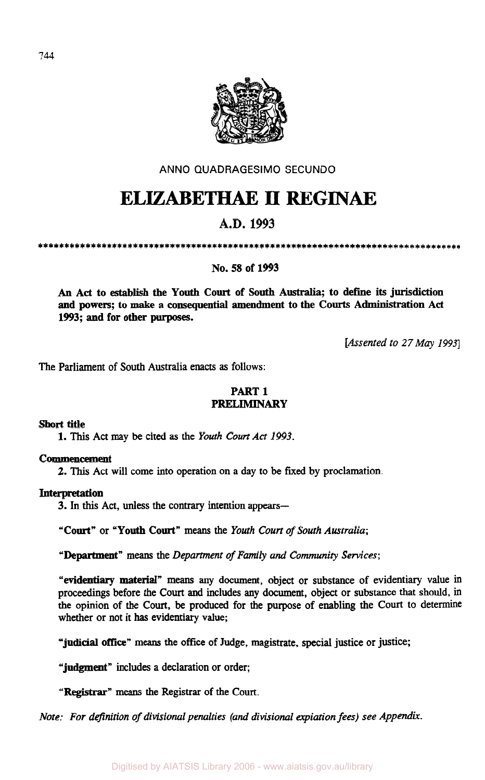

**ANNO QUADRAGESIMO SECUNDO** 

# **ELIZABETHAE II REGINAE**

# **A.D. 1993**

## **No. 58 of 1993**

**An Act to establish the Youth Court of South Australia; to define its jurisdiction and powers; to make a consequential amendment to the Courts Administration Act 1993; and for other purposes.** 

*[Assented to 27 May 1993]* 

The Parliament of South Australia enacts **as** follows:

# **PART 1 PRELIMINARY**

**Short title** 

**1. This** Act **may be** cited **as** the *Youth Court Act 1993.* 

## **Commencement**

**2.** This Act will come into operation on a day to **be** fixed by proclamation.

## **Interpretation**

3. In *this* Act, **unless** the contrary intention appears-

**"Court"** or **"Youth Court"** means the *Youth Court of South Australia;* 

**"Department"** means the *Department of* Family *and Community Services;* 

**"evidentiary material"** means **any** document, object or substance of evidentiary value **in**  proceedings before the **Court** and includes **any** document, object or substance that should, **in**  the opinion of the Court, be produced for the purpose of enabling the **Court** to determine whether or not it **has** evidentiary value;

**"judicial office" means** the office of Judge, magistrate, special justice or justice;

**"judgment"** includes a declaration or order;

**"Registrar"** means the Registrar of the **Court.** 

*Note: For definition of divisional penalties (and divisional expiation fees) see Appendix.*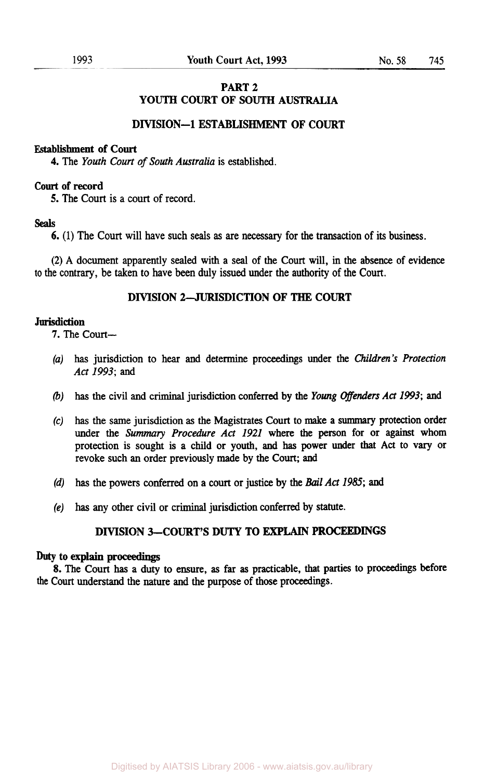## **PART 2 YOUTH COURT OF SOUTH AUSTRALIA**

## **DIVISION-1 ESTABLISHMENT OF COURT**

## **Establishment of Court**

**4.** The *Youth Court* of *South Australia* is established.

#### **Court of record**

**5.** The Court is a court of record.

#### **Seals**

**6.** (1) The Court will have such **seals as** are necessary for the transaction of its business.

(2) **A** document apparently sealed with a **seal** of the Court will, in the absence of evidence **to** the contrary, be taken to have been duly issued under the authority of the Court.

### **DIVISION 2-JURISDICTION OF THE COURT**

#### **Jurisdiction**

**7.** The Court-

- *(a)* has jurisdiction to **hear** and determine proceedings under the *Children's Protection Act 1993;* and
- (b) has the civil and criminal jurisdiction conferred by the *Young Offenders Act 1993;* and
- **(c) has** the same jurisdiction **as** the Magistrates Court to make a *summary* protection order under the *Summary Procedure Act 1921* where the person for or against whom protection is sought is a child or youth, **and** has power under that Act to vary or revoke such **an** order previously made by the Court; and
- *(d)* has the powers conferred on a court or justice by the *Bail Act 1985;* **and**
- *(e)* has **any** other civil or criminal jurisdiction conferred by statute.

## **DIVISION 3-COURT'S DUTY TO** EXPLAIN **PROCEEDINGS**

#### *Duty* **to explain proceedings**

**8.** The Court **has** a duty to ensure, **as** far **as** practicable, that parties to proceedings before **the** Court understand the nature **and** the purpose of those proceedings.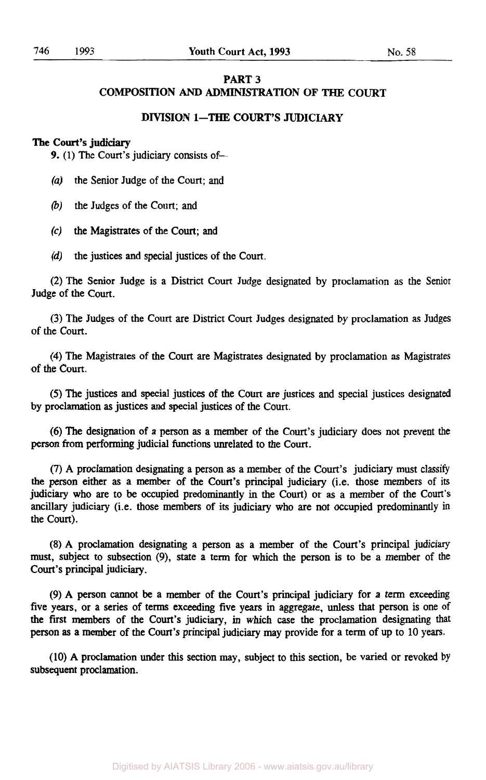## **PART 3 COMPOSITION** *AND* **ADMINISTRATION OF THE COURT**

## **DIVISION 1-THE COURT'S JUDICIARY**

#### **The Court's judiciary**

**9.** (1) The **Court's** judiciary consists of-

- *(a)* the Senior Judge of the **Court;** and
- (b) the Judges of the **Court;** and
- **(c)** the Magistrates of the **Court;** and
- *(d)* the justices and special justices of the **Court.**

(2) The Senior Judge is a District **Court** Judge designated by proclamation as the Senior Judge of the **Court.** 

(3) The Judges of the **Court** are District **Court** Judges designated by proclamation **as** Judges of the **Court.** 

**(4)** The Magistrates of the **Court** are Magistrates designated by proclamation **as** Magistrates of the **Court.** 

*(5)* The justices and special justices of the **Court** are justices and special justices designated by proclamation **as** justices and special justices of the **Court.** 

**(6)** The designation of a person **as** a member of the **Court's** judiciary does not prevent the person from performing judicial functions unrelated to the **Court.** 

(7) **A** proclamation designating a person **as** a member of the **Court's** judiciary must classify the person either **as** a member of the **Court's** principal judiciary (i.e. those members of its judiciary who are to be occupied predominantly in the **Court)** or **as** a member of the **Court's**  ancillary judiciary (i.e. those members of its judiciary who are not occupied predominantly in the **Court).** 

**(8) A** proclamation designating a person **as** a member of the **Court's** principal judiciary must, subject to subsection **(9),** state a term for which the person is to be a member of the **Court's** principal judiciary.

(9) **A** person cannot be a member of the **Court's** principal judiciary for a tern exceeding five **years,** or a series of terms exceeding five years in aggregate, unless that person is one of the first members of the **Court's** judiciary, in which case the proclamation designating that person **as a** member of the **Court's** principal judiciary may provide for a term of up to 10 years.

(10) **A** proclamation under this section may, subject to this section, be varied or revoked by subsequent proclamation.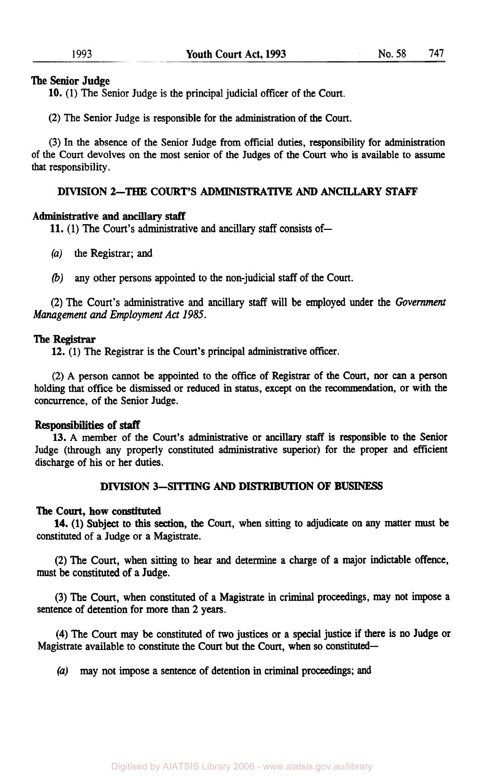#### **The Senior Judge**

**10. (1)** The Senior Judge is the principal judicial officer of the Court.

(2) The Senior Judge is responsible for the administration of the Court.

(3) In the absence of the Senior Judge from official duties, responsibility for administration of the Court devolves on the most senior of the Judges of the Court who is available to assume that responsibility.

## **DIVISION** 2-THE **COURT'S ADMINISTRATIVE** *AND* **ANCILLARY STAFF'**

#### **Administrative and** *ancillary* staff

11. (1) The Court's administrative and ancillary staff consists of-

- *(a)* the Registrar; and
- (b) any other persons appointed to the non-judicial staff of the Court.

(2) The Court's administrative and ancillary staff will be employed under the *Government Management and Employment Act 1985.* 

#### **The Registrar**

**12. (1)** The Registrar is the Court's principal administrative officer.

(2) **A** person cannot be appointed to the **office** of Registrar of the Court, nor *can* a person holding that office be dismissed or reduced in **status,** except on the recommendation, or with the concurrence, of the Senior Judge.

#### **Responsibilities of** *staff*

**13. A** member of the Court's administrative or ancillary staff is responsible to the Senior Judge (through any properly constituted administrative superior) for the proper and efficient discharge of **his** or her duties.

## **DIVISION 3-SITTING** *AND* **DISTRIBUTION OF BUSINESS**

#### **The Court, how constituted**

constituted of a Judge or **a** Magistrate. **14.** (1) Subject to this section, the Court, when sitting to adjudicate on any matter must **be** 

(2) The Court, when sitting to **hear** and determine a charge of a major indictable offence, must be constituted of a Judge.

(3) The Court, when constituted of a Magistrate in criminal proceedings, may not impose a sentence of detention for more than 2 years.

**(4)** The Court may be constituted of two justices or a special justice if there is no Judge or Magistrate available to constitute the Court but the Court, when so constituted-

*(a)* may not impose a sentence of detention in criminal proceedings; **and**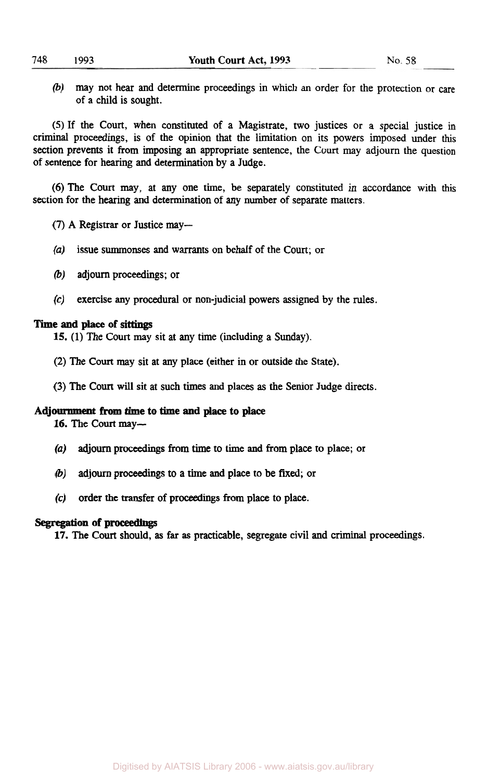(b) may not hear and determine proceedings in which an order for the protection or care of a child is sought.

*(5)* If the Court, when constituted of a Magistrate, two justices or a special justice in criminal proceedings, is of the opinion that the limitation on its powers imposed under this section prevents it **from** imposing an appropriate sentence, the Court may adjourn the question of sentence for hearing and determination by a Judge.

(6) The Court may, at any one time, be separately constituted in accordance with this section for the hearing and determination of any number of separate matters.

- **(7) A** Registrar or Justice may-
- *(a)* issue summonses and warrants on behalf of the Court; or
- (b) adjourn proceedings; or
- **(c)** exercise any procedural or non-judicial powers assigned by the rules.

#### **Time and place of sittings**

**15.** (1) The Court may sit at any time (including a Sunday).

- (2) The Court may sit at any place (either in or outside the State).
- (3) The Court will sit at such times and places **as** the Senior Judge directs.

#### **Adjournment from time to time and place to place**

16. The Court may-

- *(a)* **adjourn** proceedings **from** time to time and **from** place to place; or
- (b) adjourn proceedings to a time and place to be fixed; or
- **(c)** order the transfer of proceedings **from** place **to** place.

#### **Segregation of proceedings**

**17.** The Court should, **as** far **as** practicable, segregate civil and criminal proceedings.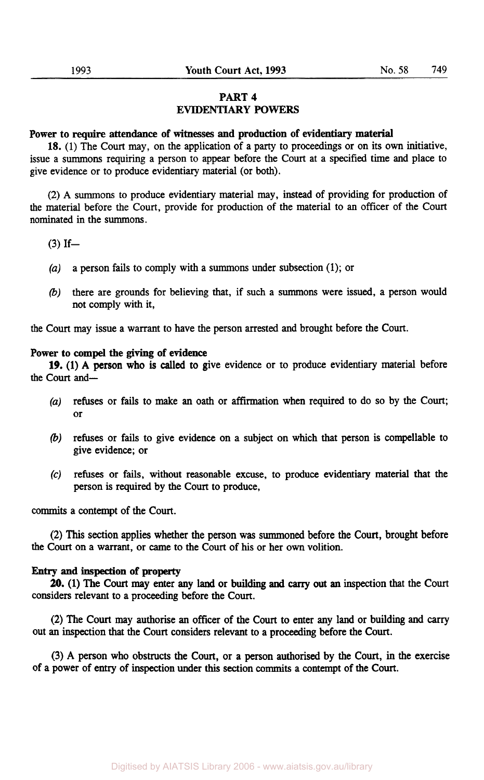## **PART 4 EVIDENTIARY** POWERS

## **Power** to require **attendance** of **witnesses and production of evidentiary** material

**18.** (1) The Court may, on the application of a party to proceedings or on its own initiative, issue a summons requiring a person to appear before the Court at a specified time and place to give evidence or to produce evidentiary material (or both).

(2) **A** summons to produce evidentiary material may, instead of providing for production of the material before the Court, provide for production of the material to **an** officer of the Court nominated in the **summoms.** 

 $(3)$  If-

- *(a)* **a** person fails to comply with **a** summons under subsection (1); or
- (b) there are grounds for believing that, if such **a** summons were issued, a person would not comply with it,

the Court may issue a warrant to have the person arrested and brought before the Court.

#### **Power to compel the giving of evidence**

the Court and-**19.** (1) **A** person who is called to give evidence or to produce evidentiary material before

- *(a)* refuses or fails to make **an** oath or affirmation when required to do so by the Court; or
- (b) refuses or fails to give evidence on a subject on which that person is compellable to give evidence; or
- *(c)* refuses or fails, without reasonable excuse, to produce evidentiary material that the person is required by the Court to produce,

commits a contempt of the Court.

(2) This section applies whether the person was summoned before the Court, brought before the Court on a warrant, or came to the Court of his or her own volition.

#### **Entry and inspection of property**

considers relevant to a proceeding before the Court. **20.** (1) The Court may enter any land or building and *carry* out an inspection that the Court

**(2)** The Court may authorise **an** officer of the Court to enter any land or building and *carry*  out an inspection that the Court considers relevant to a proceeding before the Court.

(3) **A** person who obstructs the Court, or a **person** authorised by the Court, in the exercise of a power of entry of inspection under **this** section **commits** a contempt of the Court.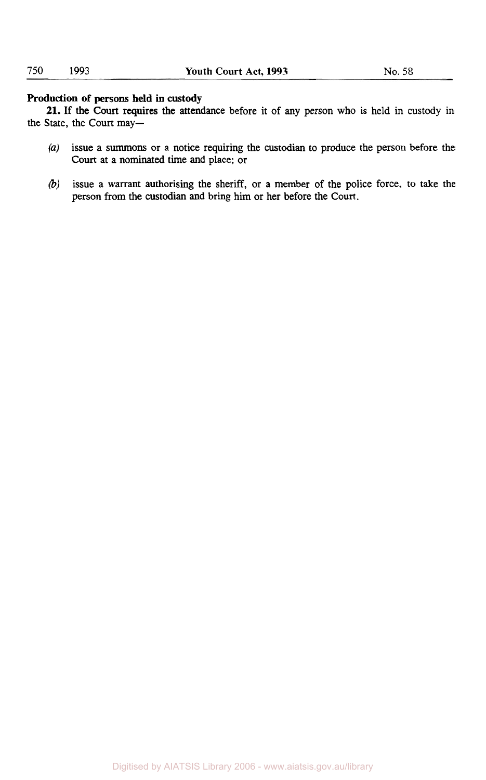## **Production of persons held** in **custody**

the State, the Court may-**21.** If the Court requires the attendance before it of any person who is held in custody in

- *(a)* issue a summons or a notice requiring the custodian to produce the person before the **Court** at a nominated time and place; or
- (b) issue a warrant authorising the sheriff, or a member of the police force, to take the person from the custodian and bring him or her before the Court.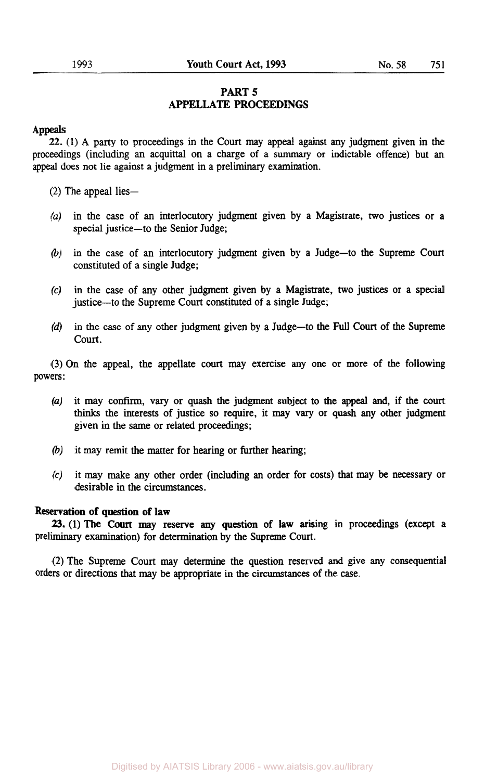## **PART** *5*  **APPELLATE PROCEEDINGS**

#### **Appeals**

**22.** (1) **A** party to proceedings in the Court may appeal against any judgment given in the proceedings (including an acquittal on a charge of a summary or indictable offence) but an appeal does not lie against a judgment in a preliminary examination.

 $(2)$  The appeal lies-

- *(a)* in the case of **an** interlocutory judgment given by a Magistrate, two justices or **<sup>a</sup>** special justice-to the Senior Judge;
- (b) in the case of an interlocutory judgment given by a Judge-to the Supreme Court constituted of a single Judge;
- *(c)* in the case of any other judgment given by a Magistrate, two justices or **a** special justice-to the Supreme Court constituted of a single Judge;
- *(d)* in the case of any other judgment given by a Judge-to the Full Court of the Supreme court.

(3) On the appeal, the appellate court may exercise any one or more of the following powers:

- *(a)* it may confirm, vary or quash the judgment subject to **the** *appeal* **and,** if the court thinks the interests of justice so require, it may vary or quash any other judgment given in the same or related proceedings;
- (b) it may remit the matter for hearing or further hearing;
- *(c)* it may make any other order (including **an** order for costs) that may **be** necessary or desirable in the circumstances.

#### **Reservation of question** of law

preliminary examination) for determination by the Supreme Court. **23.** (1) The Court may reserve any question of law arising in proceedings (except a

(2) The Supreme Court may determine the question reserved and give any consequential orders or directions that may be appropriate in the circumstances of the case.